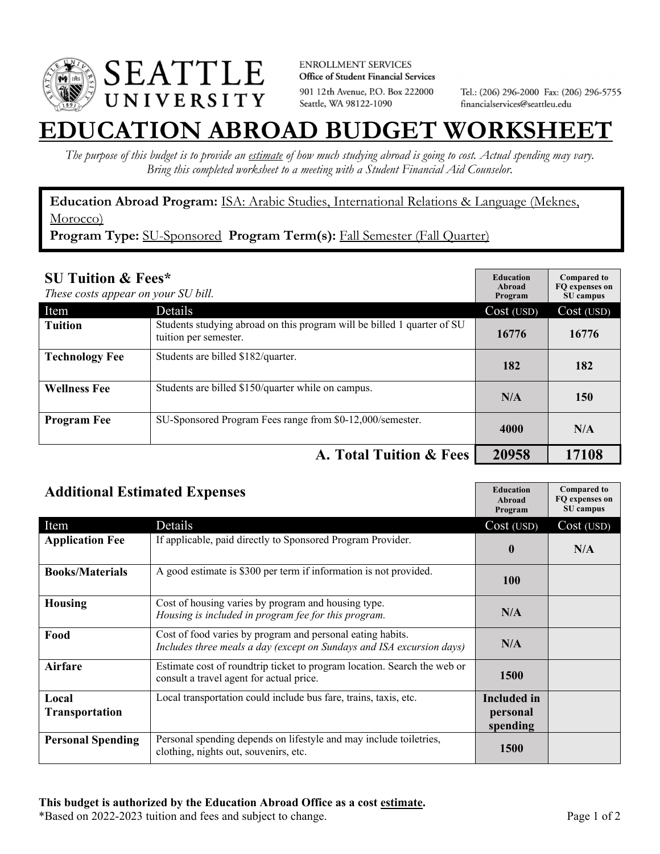

**ENROLLMENT SERVICES** Office of Student Financial Services 901 12th Avenue, P.O. Box 222000 Seattle, WA 98122-1090

Tel.: (206) 296-2000 Fax: (206) 296-5755 financialservices@seattleu.edu

## **EATION ABROAD BUDGET WORKSHEI**

*The purpose of this budget is to provide an estimate of how much studying abroad is going to cost. Actual spending may vary. Bring this completed worksheet to a meeting with a Student Financial Aid Counselor.* 

**Education Abroad Program:** ISA: Arabic Studies, International Relations & Language (Meknes, Morocco)

Program Type: SU-Sponsored Program Term(s): Fall Semester (Fall Quarter)

| <b>SU Tuition &amp; Fees*</b><br>These costs appear on your SU bill. |                                                                                                  | <b>Education</b><br>Abroad<br>Program | <b>Compared to</b><br>FQ expenses on<br>SU campus |
|----------------------------------------------------------------------|--------------------------------------------------------------------------------------------------|---------------------------------------|---------------------------------------------------|
| Item                                                                 | <b>Details</b>                                                                                   | Cost (USD)                            | Cost (USD)                                        |
| <b>Tuition</b>                                                       | Students studying abroad on this program will be billed 1 quarter of SU<br>tuition per semester. | 16776                                 | 16776                                             |
| <b>Technology Fee</b>                                                | Students are billed \$182/quarter.                                                               | 182                                   | 182                                               |
| <b>Wellness Fee</b>                                                  | Students are billed \$150/quarter while on campus.                                               | N/A                                   | 150                                               |
| <b>Program Fee</b>                                                   | SU-Sponsored Program Fees range from \$0-12,000/semester.                                        | 4000                                  | N/A                                               |
|                                                                      | A. Total Tuition & Fees                                                                          | 20958                                 | 17108                                             |

| <b>Additional Estimated Expenses</b> |                                                                                                                                     | <b>Education</b><br>Abroad<br>Program      | <b>Compared to</b><br>FQ expenses on<br>SU campus |
|--------------------------------------|-------------------------------------------------------------------------------------------------------------------------------------|--------------------------------------------|---------------------------------------------------|
| Item                                 | Details                                                                                                                             | Cost (USD)                                 | Cost (USD)                                        |
| <b>Application Fee</b>               | If applicable, paid directly to Sponsored Program Provider.                                                                         | $\bf{0}$                                   | N/A                                               |
| <b>Books/Materials</b>               | A good estimate is \$300 per term if information is not provided.                                                                   | <b>100</b>                                 |                                                   |
| <b>Housing</b>                       | Cost of housing varies by program and housing type.<br>Housing is included in program fee for this program.                         | N/A                                        |                                                   |
| Food                                 | Cost of food varies by program and personal eating habits.<br>Includes three meals a day (except on Sundays and ISA excursion days) | N/A                                        |                                                   |
| Airfare                              | Estimate cost of roundtrip ticket to program location. Search the web or<br>consult a travel agent for actual price.                | 1500                                       |                                                   |
| Local<br><b>Transportation</b>       | Local transportation could include bus fare, trains, taxis, etc.                                                                    | <b>Included</b> in<br>personal<br>spending |                                                   |
| <b>Personal Spending</b>             | Personal spending depends on lifestyle and may include toiletries,<br>clothing, nights out, souvenirs, etc.                         | <b>1500</b>                                |                                                   |

\*Based on 2022-2023 tuition and fees and subject to change. Page 1 of 2